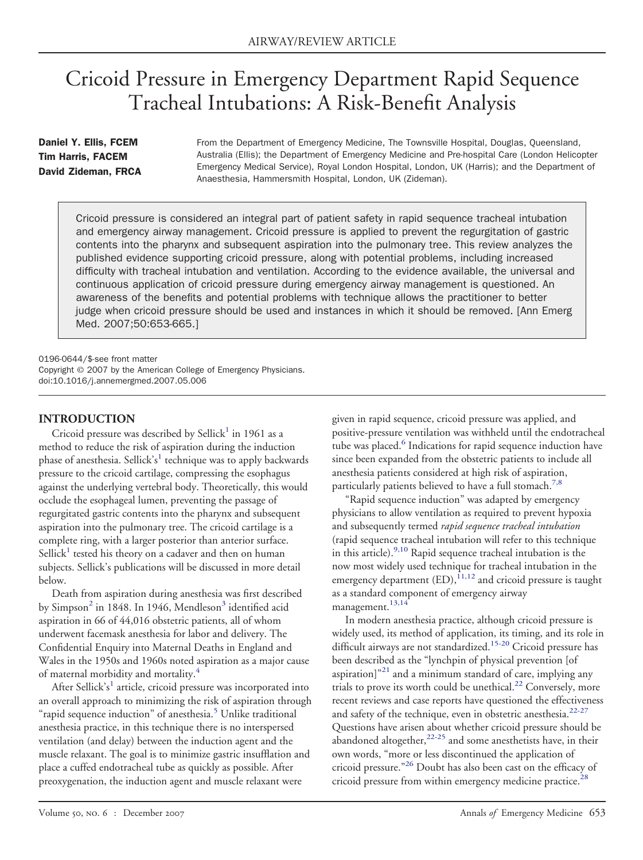# Cricoid Pressure in Emergency Department Rapid Sequence Tracheal Intubations: A Risk-Benefit Analysis

# Daniel Y. Ellis, FCEM Tim Harris, FACEM David Zideman, FRCA

From the Department of Emergency Medicine, The Townsville Hospital, Douglas, Queensland, Australia (Ellis); the Department of Emergency Medicine and Pre-hospital Care (London Helicopter Emergency Medical Service), Royal London Hospital, London, UK (Harris); and the Department of Anaesthesia, Hammersmith Hospital, London, UK (Zideman).

Cricoid pressure is considered an integral part of patient safety in rapid sequence tracheal intubation and emergency airway management. Cricoid pressure is applied to prevent the regurgitation of gastric contents into the pharynx and subsequent aspiration into the pulmonary tree. This review analyzes the published evidence supporting cricoid pressure, along with potential problems, including increased difficulty with tracheal intubation and ventilation. According to the evidence available, the universal and continuous application of cricoid pressure during emergency airway management is questioned. An awareness of the benefits and potential problems with technique allows the practitioner to better judge when cricoid pressure should be used and instances in which it should be removed. [Ann Emerg Med. 2007;50:653-665.]

0196-0644/\$-see front matter Copyright © 2007 by the American College of Emergency Physicians. doi:10.1016/j.annemergmed.2007.05.006

# **INTRODUCTION**

Cricoid pressure was described by Sellick<sup>[1](#page-9-0)</sup> in 1961 as a method to reduce the risk of aspiration during the induction phase of anesthesia. Sellick's<sup>[1](#page-9-0)</sup> technique was to apply backwards pressure to the cricoid cartilage, compressing the esophagus against the underlying vertebral body. Theoretically, this would occlude the esophageal lumen, preventing the passage of regurgitated gastric contents into the pharynx and subsequent aspiration into the pulmonary tree. The cricoid cartilage is a complete ring, with a larger posterior than anterior surface. Sellick<sup>[1](#page-9-0)</sup> tested his theory on a cadaver and then on human subjects. Sellick's publications will be discussed in more detail below.

Death from aspiration during anesthesia was first described by Simpson<sup>[2](#page-9-0)</sup> in 1848. In 1946, Mendleson<sup>[3](#page-9-0)</sup> identified acid aspiration in 66 of 44,016 obstetric patients, all of whom underwent facemask anesthesia for labor and delivery. The Confidential Enquiry into Maternal Deaths in England and Wales in the 1950s and 1960s noted aspiration as a major cause of maternal morbidity and mortality.<sup>[4](#page-9-0)</sup>

After Sellick's<sup>[1](#page-9-0)</sup> article, cricoid pressure was incorporated into an overall approach to minimizing the risk of aspiration through "rapid sequence induction" of anesthesia. [5](#page-9-0) Unlike traditional anesthesia practice, in this technique there is no interspersed ventilation (and delay) between the induction agent and the muscle relaxant. The goal is to minimize gastric insufflation and place a cuffed endotracheal tube as quickly as possible. After preoxygenation, the induction agent and muscle relaxant were

given in rapid sequence, cricoid pressure was applied, and positive-pressure ventilation was withheld until the endotracheal tube was placed. [6](#page-9-0) Indications for rapid sequence induction have since been expanded from the obstetric patients to include all anesthesia patients considered at high risk of aspiration, particularly patients believed to have a full stomach.<sup>[7,8](#page-9-0)</sup>

"Rapid sequence induction" was adapted by emergency physicians to allow ventilation as required to prevent hypoxia and subsequently termed *rapid sequence tracheal intubation* (rapid sequence tracheal intubation will refer to this technique in this article).[9,10](#page-9-0) Rapid sequence tracheal intubation is the now most widely used technique for tracheal intubation in the emergency department (ED),<sup>[11,12](#page-9-0)</sup> and cricoid pressure is taught as a standard component of emergency airway management. [13,14](#page-9-0)

In modern anesthesia practice, although cricoid pressure is widely used, its method of application, its timing, and its role in difficult airways are not standardized. [15-20](#page-9-0) Cricoid pressure has been described as the "lynchpin of physical prevention [of aspiration]"<sup>[21](#page-9-0)</sup> and a minimum standard of care, implying any trials to prove its worth could be unethical. [22](#page-9-0) Conversely, more recent reviews and case reports have questioned the effectiveness and safety of the technique, even in obstetric anesthesia.<sup>[22-27](#page-9-0)</sup> Questions have arisen about whether cricoid pressure should be abandoned altogether, $22-25$  and some anesthetists have, in their own words, "more or less discontinued the application of cricoid pressure."[26](#page-9-0) Doubt has also been cast on the efficacy of cricoid pressure from within emergency medicine practice.<sup>[28](#page-9-0)</sup>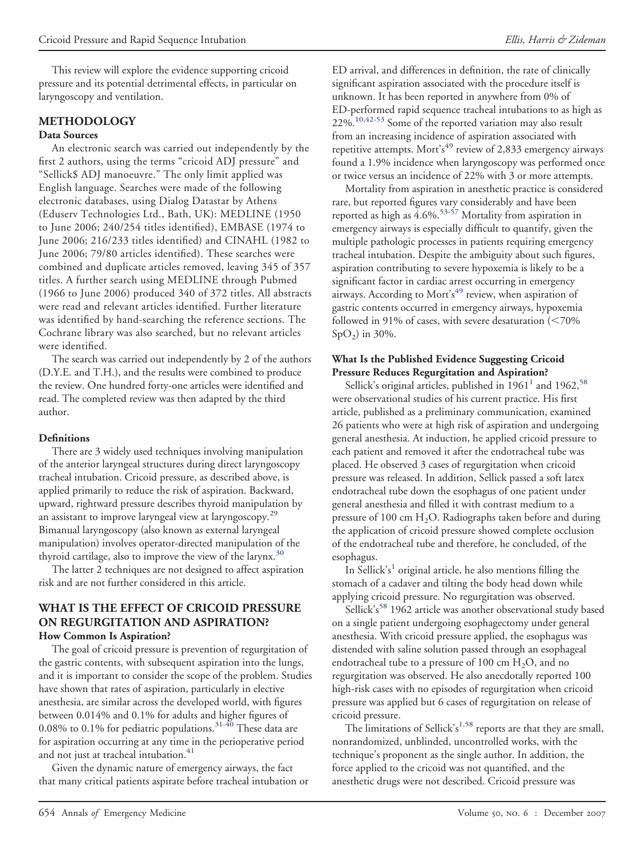This review will explore the evidence supporting cricoid pressure and its potential detrimental effects, in particular on laryngoscopy and ventilation.

# **METHODOLOGY**

## **Data Sources**

An electronic search was carried out independently by the first 2 authors, using the terms "cricoid ADJ pressure" and "Sellick\$ ADJ manoeuvre." The only limit applied was English language. Searches were made of the following electronic databases, using Dialog Datastar by Athens (Eduserv Technologies Ltd., Bath, UK): MEDLINE (1950 to June 2006; 240/254 titles identified), EMBASE (1974 to June 2006; 216/233 titles identified) and CINAHL (1982 to June 2006; 79/80 articles identified). These searches were combined and duplicate articles removed, leaving 345 of 357 titles. A further search using MEDLINE through Pubmed (1966 to June 2006) produced 340 of 372 titles. All abstracts were read and relevant articles identified. Further literature was identified by hand-searching the reference sections. The Cochrane library was also searched, but no relevant articles were identified.

The search was carried out independently by 2 of the authors (D.Y.E. and T.H.), and the results were combined to produce the review. One hundred forty-one articles were identified and read. The completed review was then adapted by the third author.

# **Definitions**

There are 3 widely used techniques involving manipulation of the anterior laryngeal structures during direct laryngoscopy tracheal intubation. Cricoid pressure, as described above, is applied primarily to reduce the risk of aspiration. Backward, upward, rightward pressure describes thyroid manipulation by an assistant to improve laryngeal view at laryngoscopy. [29](#page-9-0) Bimanual laryngoscopy (also known as external laryngeal manipulation) involves operator-directed manipulation of the thyroid cartilage, also to improve the view of the larynx. $30$ 

The latter 2 techniques are not designed to affect aspiration risk and are not further considered in this article.

## **WHAT IS THE EFFECT OF CRICOID PRESSURE ON REGURGITATION AND ASPIRATION? How Common Is Aspiration?**

The goal of cricoid pressure is prevention of regurgitation of the gastric contents, with subsequent aspiration into the lungs, and it is important to consider the scope of the problem. Studies have shown that rates of aspiration, particularly in elective anesthesia, are similar across the developed world, with figures between 0.014% and 0.1% for adults and higher figures of 0.08% to 0.1% for pediatric populations.<sup>[31-40](#page-9-0)</sup> These data are for aspiration occurring at any time in the perioperative period and not just at tracheal intubation.<sup>[41](#page-10-0)</sup>

Given the dynamic nature of emergency airways, the fact that many critical patients aspirate before tracheal intubation or ED arrival, and differences in definition, the rate of clinically significant aspiration associated with the procedure itself is unknown. It has been reported in anywhere from 0% of ED-performed rapid sequence tracheal intubations to as high as 22%.[10,42-53](#page-9-0) Some of the reported variation may also result from an increasing incidence of aspiration associated with repetitive attempts. Mort's<sup>[49](#page-10-0)</sup> review of 2,833 emergency airways found a 1.9% incidence when laryngoscopy was performed once or twice versus an incidence of 22% with 3 or more attempts.

Mortality from aspiration in anesthetic practice is considered rare, but reported figures vary considerably and have been reported as high as  $4.6\%$ <sup>[53-57](#page-10-0)</sup> Mortality from aspiration in emergency airways is especially difficult to quantify, given the multiple pathologic processes in patients requiring emergency tracheal intubation. Despite the ambiguity about such figures, aspiration contributing to severe hypoxemia is likely to be a significant factor in cardiac arrest occurring in emergency airways. According to Mort's $49$  review, when aspiration of gastric contents occurred in emergency airways, hypoxemia followed in 91% of cases, with severe desaturation  $(< 70\%$  $SpO<sub>2</sub>$ ) in 30%.

## **What Is the Published Evidence Suggesting Cricoid Pressure Reduces Regurgitation and Aspiration?**

Sellick's original articles, published in  $1961<sup>1</sup>$  $1961<sup>1</sup>$  and  $1962<sup>58</sup>$  $1962<sup>58</sup>$  $1962<sup>58</sup>$ were observational studies of his current practice. His first article, published as a preliminary communication, examined 26 patients who were at high risk of aspiration and undergoing general anesthesia. At induction, he applied cricoid pressure to each patient and removed it after the endotracheal tube was placed. He observed 3 cases of regurgitation when cricoid pressure was released. In addition, Sellick passed a soft latex endotracheal tube down the esophagus of one patient under general anesthesia and filled it with contrast medium to a pressure of 100 cm  $H_2O$ . Radiographs taken before and during the application of cricoid pressure showed complete occlusion of the endotracheal tube and therefore, he concluded, of the esophagus.

In Sellick's<sup>[1](#page-9-0)</sup> original article, he also mentions filling the stomach of a cadaver and tilting the body head down while applying cricoid pressure. No regurgitation was observed.

Sellick's<sup>[58](#page-10-0)</sup> 1962 article was another observational study based on a single patient undergoing esophagectomy under general anesthesia. With cricoid pressure applied, the esophagus was distended with saline solution passed through an esophageal endotracheal tube to a pressure of 100 cm  $H_2O$ , and no regurgitation was observed. He also anecdotally reported 100 high-risk cases with no episodes of regurgitation when cricoid pressure was applied but 6 cases of regurgitation on release of cricoid pressure.

The limitations of Sellick's<sup>[1,58](#page-9-0)</sup> reports are that they are small, nonrandomized, unblinded, uncontrolled works, with the technique's proponent as the single author. In addition, the force applied to the cricoid was not quantified, and the anesthetic drugs were not described. Cricoid pressure was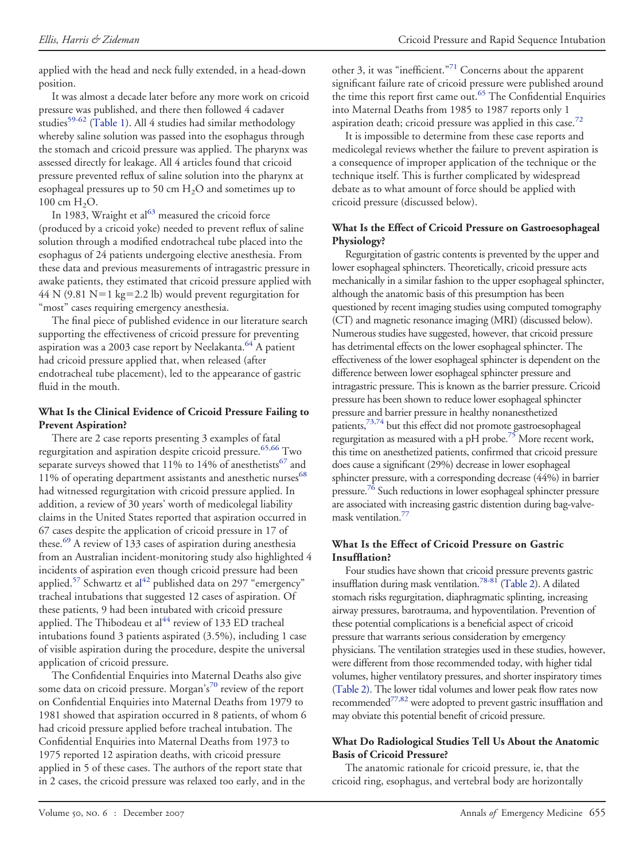applied with the head and neck fully extended, in a head-down position.

It was almost a decade later before any more work on cricoid pressure was published, and there then followed 4 cadaver studies<sup>[59-62](#page-10-0)</sup> [\(Table 1\)](#page-3-0). All 4 studies had similar methodology whereby saline solution was passed into the esophagus through the stomach and cricoid pressure was applied. The pharynx was assessed directly for leakage. All 4 articles found that cricoid pressure prevented reflux of saline solution into the pharynx at esophageal pressures up to 50 cm  $H_2O$  and sometimes up to 100 cm  $H_2O$ .

In 1983, Wraight et al $^{63}$  $^{63}$  $^{63}$  measured the cricoid force (produced by a cricoid yoke) needed to prevent reflux of saline solution through a modified endotracheal tube placed into the esophagus of 24 patients undergoing elective anesthesia. From these data and previous measurements of intragastric pressure in awake patients, they estimated that cricoid pressure applied with 44 N (9.81 N = 1 kg = 2.2 lb) would prevent regurgitation for "most" cases requiring emergency anesthesia.

The final piece of published evidence in our literature search supporting the effectiveness of cricoid pressure for preventing aspiration was a 2003 case report by Neelakanta.<sup>[64](#page-10-0)</sup> A patient had cricoid pressure applied that, when released (after endotracheal tube placement), led to the appearance of gastric fluid in the mouth.

# **What Is the Clinical Evidence of Cricoid Pressure Failing to Prevent Aspiration?**

There are 2 case reports presenting 3 examples of fatal regurgitation and aspiration despite cricoid pressure.<sup>[65,66](#page-10-0)</sup> Two separate surveys showed that  $11\%$  to 14% of anesthetists<sup>[67](#page-10-0)</sup> and 11% of operating department assistants and anesthetic nurses<sup>[68](#page-10-0)</sup> had witnessed regurgitation with cricoid pressure applied. In addition, a review of 30 years' worth of medicolegal liability claims in the United States reported that aspiration occurred in 67 cases despite the application of cricoid pressure in 17 of these.[69](#page-10-0) A review of 133 cases of aspiration during anesthesia from an Australian incident-monitoring study also highlighted 4 incidents of aspiration even though cricoid pressure had been applied.<sup>[57](#page-10-0)</sup> Schwartz et al<sup>[42](#page-10-0)</sup> published data on 297 "emergency" tracheal intubations that suggested 12 cases of aspiration. Of these patients, 9 had been intubated with cricoid pressure applied. The Thibodeau et al $^{44}$  $^{44}$  $^{44}$  review of 133 ED tracheal intubations found 3 patients aspirated (3.5%), including 1 case of visible aspiration during the procedure, despite the universal application of cricoid pressure.

The Confidential Enquiries into Maternal Deaths also give some data on cricoid pressure. Morgan's<sup>[70](#page-10-0)</sup> review of the report on Confidential Enquiries into Maternal Deaths from 1979 to 1981 showed that aspiration occurred in 8 patients, of whom 6 had cricoid pressure applied before tracheal intubation. The Confidential Enquiries into Maternal Deaths from 1973 to 1975 reported 12 aspiration deaths, with cricoid pressure applied in 5 of these cases. The authors of the report state that in 2 cases, the cricoid pressure was relaxed too early, and in the

other 3, it was "inefficient."[71](#page-10-0) Concerns about the apparent significant failure rate of cricoid pressure were published around the time this report first came out.[65](#page-10-0) The Confidential Enquiries into Maternal Deaths from 1985 to 1987 reports only 1 aspiration death; cricoid pressure was applied in this case.<sup>[72](#page-10-0)</sup>

It is impossible to determine from these case reports and medicolegal reviews whether the failure to prevent aspiration is a consequence of improper application of the technique or the technique itself. This is further complicated by widespread debate as to what amount of force should be applied with cricoid pressure (discussed below).

# **What Is the Effect of Cricoid Pressure on Gastroesophageal Physiology?**

Regurgitation of gastric contents is prevented by the upper and lower esophageal sphincters. Theoretically, cricoid pressure acts mechanically in a similar fashion to the upper esophageal sphincter, although the anatomic basis of this presumption has been questioned by recent imaging studies using computed tomography (CT) and magnetic resonance imaging (MRI) (discussed below). Numerous studies have suggested, however, that cricoid pressure has detrimental effects on the lower esophageal sphincter. The effectiveness of the lower esophageal sphincter is dependent on the difference between lower esophageal sphincter pressure and intragastric pressure. This is known as the barrier pressure. Cricoid pressure has been shown to reduce lower esophageal sphincter pressure and barrier pressure in healthy nonanesthetized patients,<sup>[73,74](#page-10-0)</sup> but this effect did not promote gastroesophageal regurgitation as measured with a pH probe.<sup>75</sup> More recent work, this time on anesthetized patients, confirmed that cricoid pressure does cause a significant (29%) decrease in lower esophageal sphincter pressure, with a corresponding decrease (44%) in barrier pressure[.76](#page-10-0) Such reductions in lower esophageal sphincter pressure are associated with increasing gastric distention during bag-valvemask ventilation. [77](#page-10-0)

# **What Is the Effect of Cricoid Pressure on Gastric Insufflation?**

Four studies have shown that cricoid pressure prevents gastric insufflation during mask ventilation.<sup>[78-81](#page-10-0)</sup> [\(Table 2\)](#page-4-0). A dilated stomach risks regurgitation, diaphragmatic splinting, increasing airway pressures, barotrauma, and hypoventilation. Prevention of these potential complications is a beneficial aspect of cricoid pressure that warrants serious consideration by emergency physicians. The ventilation strategies used in these studies, however, were different from those recommended today, with higher tidal volumes, higher ventilatory pressures, and shorter inspiratory times [\(Table 2\)](#page-4-0). The lower tidal volumes and lower peak flow rates now recommended<sup>77,82</sup> were adopted to prevent gastric insufflation and may obviate this potential benefit of cricoid pressure.

# **What Do Radiological Studies Tell Us About the Anatomic Basis of Cricoid Pressure?**

The anatomic rationale for cricoid pressure, ie, that the cricoid ring, esophagus, and vertebral body are horizontally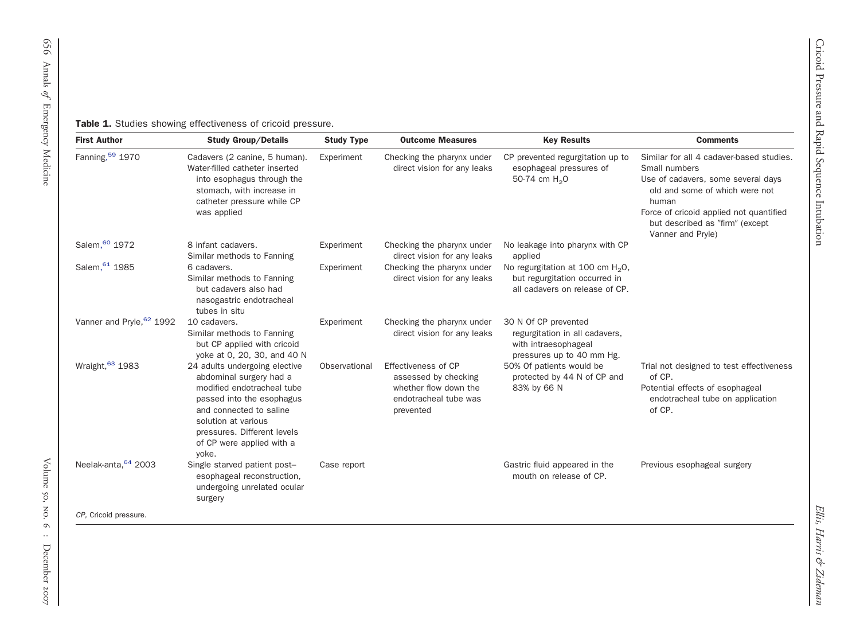| Table 1. Studies showing effectiveness of cricoid pressure. |  |
|-------------------------------------------------------------|--|
|-------------------------------------------------------------|--|

<span id="page-3-0"></span>

| <b>First Author</b>       | <b>Study Group/Details</b>                                                                                                                                                                                                                 | <b>Study Type</b> | <b>Outcome Measures</b>                                                                                           | <b>Key Results</b>                                                                                          | <b>Comments</b>                                                                                                                                                                                                                               |
|---------------------------|--------------------------------------------------------------------------------------------------------------------------------------------------------------------------------------------------------------------------------------------|-------------------|-------------------------------------------------------------------------------------------------------------------|-------------------------------------------------------------------------------------------------------------|-----------------------------------------------------------------------------------------------------------------------------------------------------------------------------------------------------------------------------------------------|
| Fanning, 59 1970          | Cadavers (2 canine, 5 human).<br>Water-filled catheter inserted<br>into esophagus through the<br>stomach, with increase in<br>catheter pressure while CP<br>was applied                                                                    | Experiment        | Checking the pharynx under<br>direct vision for any leaks                                                         | CP prevented regurgitation up to<br>esophageal pressures of<br>50-74 cm H <sub>2</sub> 0                    | Similar for all 4 cadaver-based studies.<br>Small numbers<br>Use of cadavers, some several days<br>old and some of which were not<br>human<br>Force of cricoid applied not quantified<br>but described as "firm" (except<br>Vanner and Pryle) |
| Salem, 60 1972            | 8 infant cadavers.<br>Similar methods to Fanning                                                                                                                                                                                           | Experiment        | Checking the pharynx under<br>direct vision for any leaks                                                         | No leakage into pharynx with CP<br>applied                                                                  |                                                                                                                                                                                                                                               |
| Salem, 61 1985            | 6 cadavers.<br>Similar methods to Fanning<br>but cadavers also had<br>nasogastric endotracheal<br>tubes in situ                                                                                                                            | Experiment        | Checking the pharynx under<br>direct vision for any leaks                                                         | No regurgitation at 100 cm $H_2O$ ,<br>but regurgitation occurred in<br>all cadavers on release of CP.      |                                                                                                                                                                                                                                               |
| Vanner and Pryle, 62 1992 | 10 cadavers.<br>Similar methods to Fanning<br>but CP applied with cricoid<br>yoke at 0, 20, 30, and 40 N                                                                                                                                   | Experiment        | Checking the pharynx under<br>direct vision for any leaks                                                         | 30 N Of CP prevented<br>regurgitation in all cadavers,<br>with intraesophageal<br>pressures up to 40 mm Hg. |                                                                                                                                                                                                                                               |
| Wraight, 63 1983          | 24 adults undergoing elective<br>abdominal surgery had a<br>modified endotracheal tube<br>passed into the esophagus<br>and connected to saline<br>solution at various<br>pressures. Different levels<br>of CP were applied with a<br>yoke. | Observational     | <b>Effectiveness of CP</b><br>assessed by checking<br>whether flow down the<br>endotracheal tube was<br>prevented | 50% Of patients would be<br>protected by 44 N of CP and<br>83% by 66 N                                      | Trial not designed to test effectiveness<br>of CP.<br>Potential effects of esophageal<br>endotracheal tube on application<br>of CP.                                                                                                           |
| Neelak-anta, 64 2003      | Single starved patient post-<br>esophageal reconstruction,<br>undergoing unrelated ocular<br>surgery                                                                                                                                       | Case report       |                                                                                                                   | Gastric fluid appeared in the<br>mouth on release of CP.                                                    | Previous esophageal surgery                                                                                                                                                                                                                   |
| CP, Cricoid pressure.     |                                                                                                                                                                                                                                            |                   |                                                                                                                   |                                                                                                             |                                                                                                                                                                                                                                               |

Cricoid Pressure and Rapid Sequence

Intubation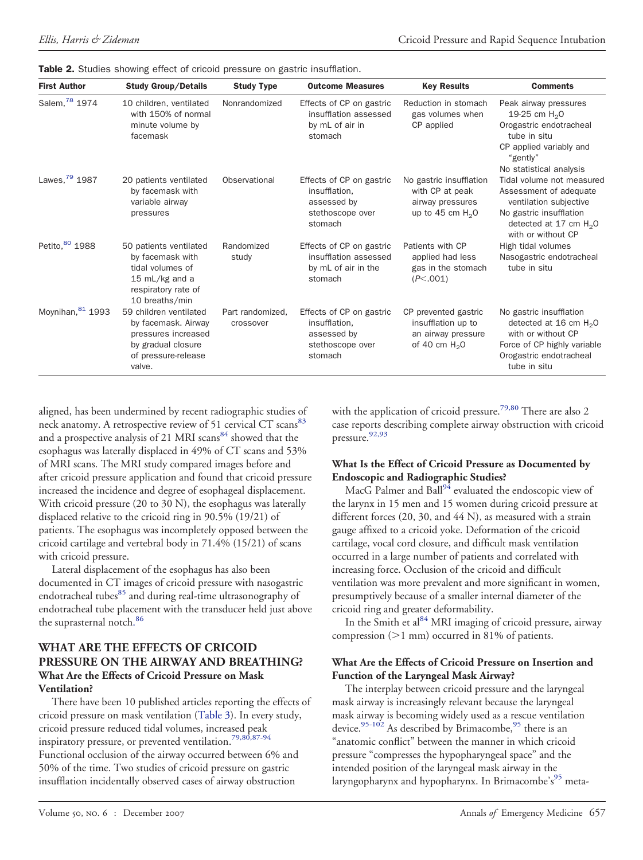| <b>First Author</b>       | <b>Study Group/Details</b>                                                                                                  | <b>Study Type</b>             | <b>Outcome Measures</b>                                                                 | <b>Key Results</b>                                                                  | <b>Comments</b>                                                                                                                                                 |
|---------------------------|-----------------------------------------------------------------------------------------------------------------------------|-------------------------------|-----------------------------------------------------------------------------------------|-------------------------------------------------------------------------------------|-----------------------------------------------------------------------------------------------------------------------------------------------------------------|
| Salem, 78 1974            | 10 children, ventilated<br>with 150% of normal<br>minute volume by<br>facemask                                              | Nonrandomized                 | Effects of CP on gastric<br>insufflation assessed<br>by mL of air in<br>stomach         | Reduction in stomach<br>gas volumes when<br>CP applied                              | Peak airway pressures<br>19-25 cm H <sub>2</sub> 0<br>Orogastric endotracheal<br>tube in situ<br>CP applied variably and<br>"gently"<br>No statistical analysis |
| Lawes, <sup>79</sup> 1987 | 20 patients ventilated<br>by facemask with<br>variable airway<br>pressures                                                  | Observational                 | Effects of CP on gastric<br>insufflation.<br>assessed by<br>stethoscope over<br>stomach | No gastric insufflation<br>with CP at peak<br>airway pressures<br>up to 45 cm $H2O$ | Tidal volume not measured<br>Assessment of adequate<br>ventilation subjective<br>No gastric insufflation<br>detected at 17 cm $H_2O$<br>with or without CP      |
| Petito, 80 1988           | 50 patients ventilated<br>by facemask with<br>tidal volumes of<br>15 mL/kg and a<br>respiratory rate of<br>10 breaths/min   | Randomized<br>study           | Effects of CP on gastric<br>insufflation assessed<br>by mL of air in the<br>stomach     | Patients with CP<br>applied had less<br>gas in the stomach<br>(P<.001)              | High tidal volumes<br>Nasogastric endotracheal<br>tube in situ                                                                                                  |
| Moynihan, 81 1993         | 59 children ventilated<br>by facemask. Airway<br>pressures increased<br>by gradual closure<br>of pressure-release<br>valve. | Part randomized.<br>crossover | Effects of CP on gastric<br>insufflation.<br>assessed by<br>stethoscope over<br>stomach | CP prevented gastric<br>insufflation up to<br>an airway pressure<br>of 40 cm $H_2O$ | No gastric insufflation<br>detected at 16 cm $H2O$<br>with or without CP<br>Force of CP highly variable<br>Orogastric endotracheal<br>tube in situ              |

Table 2. Studies showing effect of cricoid pressure on gastric insufflation.

aligned, has been undermined by recent radiographic studies of neck anatomy. A retrospective review of 51 cervical CT scans<sup>[83](#page-11-0)</sup> and a prospective analysis of 21 MRI scans<sup>[84](#page-11-0)</sup> showed that the esophagus was laterally displaced in 49% of CT scans and 53% of MRI scans. The MRI study compared images before and after cricoid pressure application and found that cricoid pressure increased the incidence and degree of esophageal displacement. With cricoid pressure (20 to 30 N), the esophagus was laterally displaced relative to the cricoid ring in 90.5% (19/21) of patients. The esophagus was incompletely opposed between the cricoid cartilage and vertebral body in 71.4% (15/21) of scans with cricoid pressure.

Lateral displacement of the esophagus has also been documented in CT images of cricoid pressure with nasogastric endotracheal tubes<sup>[85](#page-11-0)</sup> and during real-time ultrasonography of endotracheal tube placement with the transducer held just above the suprasternal notch. [86](#page-11-0)

# **WHAT ARE THE EFFECTS OF CRICOID PRESSURE ON THE AIRWAY AND BREATHING? What Are the Effects of Cricoid Pressure on Mask Ventilation?**

<span id="page-4-0"></span>There have been 10 published articles reporting the effects of cricoid pressure on mask ventilation [\(Table 3\)](#page-5-0). In every study, cricoid pressure reduced tidal volumes, increased peak inspiratory pressure, or prevented ventilation.<sup>[79,80,87-94](#page-10-0)</sup> Functional occlusion of the airway occurred between 6% and 50% of the time. Two studies of cricoid pressure on gastric insufflation incidentally observed cases of airway obstruction

with the application of cricoid pressure.<sup>[79,80](#page-10-0)</sup> There are also 2 case reports describing complete airway obstruction with cricoid pressure.[92,93](#page-11-0)

# **What Is the Effect of Cricoid Pressure as Documented by Endoscopic and Radiographic Studies?**

MacG Palmer and Ball $9\frac{3}{4}$  evaluated the endoscopic view of the larynx in 15 men and 15 women during cricoid pressure at different forces (20, 30, and 44 N), as measured with a strain gauge affixed to a cricoid yoke. Deformation of the cricoid cartilage, vocal cord closure, and difficult mask ventilation occurred in a large number of patients and correlated with increasing force. Occlusion of the cricoid and difficult ventilation was more prevalent and more significant in women, presumptively because of a smaller internal diameter of the cricoid ring and greater deformability.

In the Smith et  $al^{84}$  $al^{84}$  $al^{84}$  MRI imaging of cricoid pressure, airway compression  $(>1$  mm) occurred in 81% of patients.

# **What Are the Effects of Cricoid Pressure on Insertion and Function of the Laryngeal Mask Airway?**

The interplay between cricoid pressure and the laryngeal mask airway is increasingly relevant because the laryngeal mask airway is becoming widely used as a rescue ventilation device.<sup>[95-102](#page-11-0)</sup> As described by Brimacombe,<sup>[95](#page-11-0)</sup> there is an "anatomic conflict" between the manner in which cricoid pressure "compresses the hypopharyngeal space" and the intended position of the laryngeal mask airway in the laryngopharynx and hypopharynx. In Brimacombe's<sup>[95](#page-11-0)</sup> meta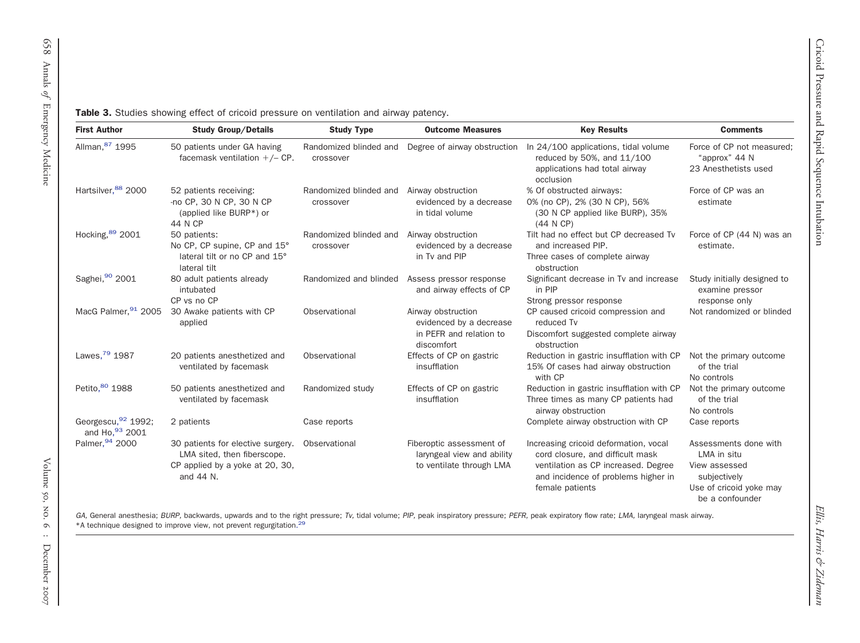Table 3. Studies showing effect of cricoid pressure on ventilation and airway patency.

| <b>First Author</b>                      | <b>Study Group/Details</b>                                                                                       | <b>Study Type</b>                   | <b>Outcome Measures</b>                                                                | <b>Key Results</b>                                                                                                                                                         | <b>Comments</b>                                                                                                     |
|------------------------------------------|------------------------------------------------------------------------------------------------------------------|-------------------------------------|----------------------------------------------------------------------------------------|----------------------------------------------------------------------------------------------------------------------------------------------------------------------------|---------------------------------------------------------------------------------------------------------------------|
| Allman, 87 1995                          | 50 patients under GA having<br>facemask ventilation $+/-$ CP.                                                    | Randomized blinded and<br>crossover | Degree of airway obstruction                                                           | In 24/100 applications, tidal volume<br>reduced by 50%, and 11/100<br>applications had total airway<br>occlusion                                                           | Force of CP not measured;<br>"approx" 44 N<br>23 Anesthetists used                                                  |
| Hartsilver, 88 2000                      | 52 patients receiving:<br>-no CP, 30 N CP, 30 N CP<br>(applied like BURP*) or<br>44 N CP                         | Randomized blinded and<br>crossover | Airway obstruction<br>evidenced by a decrease<br>in tidal volume                       | % Of obstructed airways:<br>0% (no CP), 2% (30 N CP), 56%<br>(30 N CP applied like BURP), 35%<br>(44 N CP)                                                                 | Force of CP was an<br>estimate                                                                                      |
| Hocking, 89 2001                         | 50 patients:<br>No CP, CP supine, CP and 15°<br>lateral tilt or no CP and 15°<br>lateral tilt                    | Randomized blinded and<br>crossover | Airway obstruction<br>evidenced by a decrease<br>in Tv and PIP                         | Tilt had no effect but CP decreased Tv<br>and increased PIP.<br>Three cases of complete airway<br>obstruction                                                              | Force of CP (44 N) was an<br>estimate.                                                                              |
| Saghei, 90 2001                          | 80 adult patients already<br>intubated<br>CP vs no CP                                                            | Randomized and blinded              | Assess pressor response<br>and airway effects of CP                                    | Significant decrease in Tv and increase<br>in PIP<br>Strong pressor response                                                                                               | Study initially designed to<br>examine pressor<br>response only                                                     |
| MacG Palmer, 91 2005                     | 30 Awake patients with CP<br>applied                                                                             | Observational                       | Airway obstruction<br>evidenced by a decrease<br>in PEFR and relation to<br>discomfort | CP caused cricoid compression and<br>reduced Tv<br>Discomfort suggested complete airway<br>obstruction                                                                     | Not randomized or blinded                                                                                           |
| Lawes. <sup>79</sup> 1987                | 20 patients anesthetized and<br>ventilated by facemask                                                           | Observational                       | Effects of CP on gastric<br>insufflation                                               | Reduction in gastric insufflation with CP<br>15% Of cases had airway obstruction<br>with CP                                                                                | Not the primary outcome<br>of the trial<br>No controls                                                              |
| Petito, 80 1988                          | 50 patients anesthetized and<br>ventilated by facemask                                                           | Randomized study                    | Effects of CP on gastric<br>insufflation                                               | Reduction in gastric insufflation with CP<br>Three times as many CP patients had<br>airway obstruction                                                                     | Not the primary outcome<br>of the trial<br>No controls                                                              |
| Georgescu, 92 1992;<br>and Ho, $93$ 2001 | 2 patients                                                                                                       | Case reports                        |                                                                                        | Complete airway obstruction with CP                                                                                                                                        | Case reports                                                                                                        |
| Palmer, 94 2000                          | 30 patients for elective surgery.<br>LMA sited, then fiberscope.<br>CP applied by a yoke at 20, 30,<br>and 44 N. | Observational                       | Fiberoptic assessment of<br>laryngeal view and ability<br>to ventilate through LMA     | Increasing cricoid deformation, vocal<br>cord closure, and difficult mask<br>ventilation as CP increased. Degree<br>and incidence of problems higher in<br>female patients | Assessments done with<br>LMA in situ<br>View assessed<br>subjectively<br>Use of cricoid yoke may<br>be a confounder |

<span id="page-5-0"></span>GA, General anesthesia; BURP, backwards, upwards and to the right pressure; Tv, tidal volume; PIP, peak inspiratory pressure; PEFR, peak expiratory flow rate; LMA, laryngeal mask airway. \*A technique designed to improve view, not prevent regurgitation. [29](#page-9-1)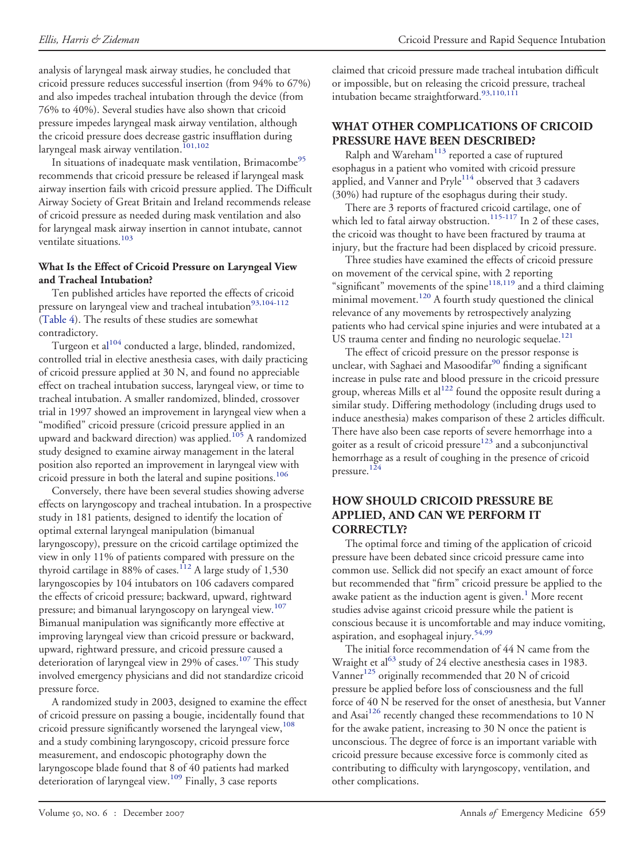analysis of laryngeal mask airway studies, he concluded that cricoid pressure reduces successful insertion (from 94% to 67%) and also impedes tracheal intubation through the device (from 76% to 40%). Several studies have also shown that cricoid pressure impedes laryngeal mask airway ventilation, although the cricoid pressure does decrease gastric insufflation during laryngeal mask airway ventilation.<sup>[101,102](#page-11-0)</sup>

In situations of inadequate mask ventilation, Brimacombe<sup>[95](#page-11-0)</sup> recommends that cricoid pressure be released if laryngeal mask airway insertion fails with cricoid pressure applied. The Difficult Airway Society of Great Britain and Ireland recommends release of cricoid pressure as needed during mask ventilation and also for laryngeal mask airway insertion in cannot intubate, cannot ventilate situations.<sup>[103](#page-11-0)</sup>

## **What Is the Effect of Cricoid Pressure on Laryngeal View and Tracheal Intubation?**

Ten published articles have reported the effects of cricoid pressure on laryngeal view and tracheal intubation<sup>[93,104-112](#page-11-0)</sup> [\(Table 4\)](#page-7-0). The results of these studies are somewhat contradictory.

Turgeon et al [104](#page-11-0) conducted a large, blinded, randomized, controlled trial in elective anesthesia cases, with daily practicing of cricoid pressure applied at 30 N, and found no appreciable effect on tracheal intubation success, laryngeal view, or time to tracheal intubation. A smaller randomized, blinded, crossover trial in 1997 showed an improvement in laryngeal view when a "modified" cricoid pressure (cricoid pressure applied in an upward and backward direction) was applied.<sup>[105](#page-11-0)</sup> A randomized study designed to examine airway management in the lateral position also reported an improvement in laryngeal view with cricoid pressure in both the lateral and supine positions.<sup>[106](#page-11-0)</sup>

Conversely, there have been several studies showing adverse effects on laryngoscopy and tracheal intubation. In a prospective study in 181 patients, designed to identify the location of optimal external laryngeal manipulation (bimanual laryngoscopy), pressure on the cricoid cartilage optimized the view in only 11% of patients compared with pressure on the thyroid cartilage in 88% of cases.<sup>[112](#page-11-0)</sup> A large study of 1,530 laryngoscopies by 104 intubators on 106 cadavers compared the effects of cricoid pressure; backward, upward, rightward pressure; and bimanual laryngoscopy on laryngeal view. [107](#page-11-0) Bimanual manipulation was significantly more effective at improving laryngeal view than cricoid pressure or backward, upward, rightward pressure, and cricoid pressure caused a deterioration of laryngeal view in 29% of cases.<sup>[107](#page-11-0)</sup> This study involved emergency physicians and did not standardize cricoid pressure force.

A randomized study in 2003, designed to examine the effect of cricoid pressure on passing a bougie, incidentally found that cricoid pressure significantly worsened the laryngeal view,<sup>[108](#page-11-0)</sup> and a study combining laryngoscopy, cricoid pressure force measurement, and endoscopic photography down the laryngoscope blade found that 8 of 40 patients had marked deterioration of laryngeal view.[109](#page-11-0) Finally, 3 case reports

claimed that cricoid pressure made tracheal intubation difficult or impossible, but on releasing the cricoid pressure, tracheal intubation became straightforward. [93,110,111](#page-11-0)

# **WHAT OTHER COMPLICATIONS OF CRICOID PRESSURE HAVE BEEN DESCRIBED?**

Ralph and Wareham<sup>[113](#page-11-0)</sup> reported a case of ruptured esophagus in a patient who vomited with cricoid pressure applied, and Vanner and Pryle<sup>[114](#page-11-0)</sup> observed that 3 cadavers (30%) had rupture of the esophagus during their study.

There are 3 reports of fractured cricoid cartilage, one of which led to fatal airway obstruction.<sup>[115-117](#page-11-0)</sup> In 2 of these cases, the cricoid was thought to have been fractured by trauma at injury, but the fracture had been displaced by cricoid pressure.

Three studies have examined the effects of cricoid pressure on movement of the cervical spine, with 2 reporting "significant" movements of the spine<sup>[118,119](#page-11-0)</sup> and a third claiming minimal movement.<sup>[120](#page-11-0)</sup> A fourth study questioned the clinical relevance of any movements by retrospectively analyzing patients who had cervical spine injuries and were intubated at a US trauma center and finding no neurologic sequelae.<sup>[121](#page-11-0)</sup>

The effect of cricoid pressure on the pressor response is unclear, with Saghaei and Masoodifar<sup>[90](#page-11-0)</sup> finding a significant increase in pulse rate and blood pressure in the cricoid pressure group, whereas Mills et al<sup>[122](#page-11-0)</sup> found the opposite result during a similar study. Differing methodology (including drugs used to induce anesthesia) makes comparison of these 2 articles difficult. There have also been case reports of severe hemorrhage into a goiter as a result of cricoid pressure $123$  and a subconjunctival hemorrhage as a result of coughing in the presence of cricoid pressure.<sup>[124](#page-11-0)</sup>

# **HOW SHOULD CRICOID PRESSURE BE APPLIED, AND CAN WE PERFORM IT CORRECTLY?**

The optimal force and timing of the application of cricoid pressure have been debated since cricoid pressure came into common use. Sellick did not specify an exact amount of force but recommended that "firm" cricoid pressure be applied to the awake patient as the induction agent is given. $<sup>1</sup>$  $<sup>1</sup>$  $<sup>1</sup>$  More recent</sup> studies advise against cricoid pressure while the patient is conscious because it is uncomfortable and may induce vomiting, aspiration, and esophageal injury.<sup>[54,99](#page-10-0)</sup>

The initial force recommendation of 44 N came from the Wraight et al<sup>[63](#page-10-0)</sup> study of 24 elective anesthesia cases in 1983. Vanner<sup>[125](#page-11-0)</sup> originally recommended that 20 N of cricoid pressure be applied before loss of consciousness and the full force of 40 N be reserved for the onset of anesthesia, but Vanner and Asai $126$  recently changed these recommendations to 10 N for the awake patient, increasing to 30 N once the patient is unconscious. The degree of force is an important variable with cricoid pressure because excessive force is commonly cited as contributing to difficulty with laryngoscopy, ventilation, and other complications.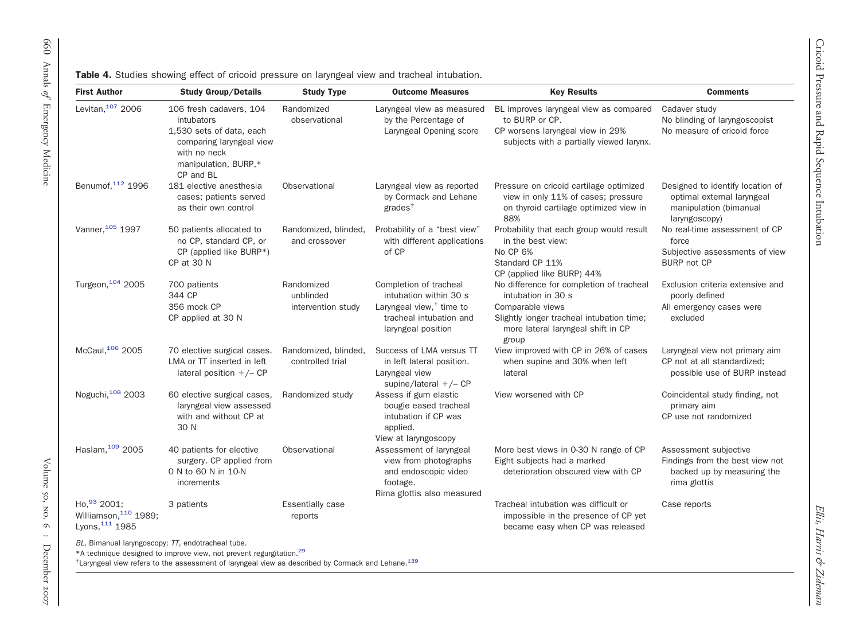|  |  |  |  |  |  |  |  |  |  |  | Table 4. Studies showing effect of cricoid pressure on laryngeal view and tracheal intubation. |
|--|--|--|--|--|--|--|--|--|--|--|------------------------------------------------------------------------------------------------|
|--|--|--|--|--|--|--|--|--|--|--|------------------------------------------------------------------------------------------------|

| <b>First Author</b>                                      | <b>Study Group/Details</b>                                                                                                                         | <b>Study Type</b>                             | <b>Outcome Measures</b>                                                                                                          | <b>Key Results</b>                                                                                                                                                             | <b>Comments</b>                                                                                           |
|----------------------------------------------------------|----------------------------------------------------------------------------------------------------------------------------------------------------|-----------------------------------------------|----------------------------------------------------------------------------------------------------------------------------------|--------------------------------------------------------------------------------------------------------------------------------------------------------------------------------|-----------------------------------------------------------------------------------------------------------|
| Levitan, 107 2006                                        | 106 fresh cadavers, 104<br>intubators<br>1,530 sets of data, each<br>comparing laryngeal view<br>with no neck<br>manipulation, BURP,*<br>CP and BL | Randomized<br>observational                   | Laryngeal view as measured<br>by the Percentage of<br>Laryngeal Opening score                                                    | BL improves laryngeal view as compared<br>to BURP or CP.<br>CP worsens laryngeal view in 29%<br>subjects with a partially viewed larynx.                                       | Cadaver study<br>No blinding of laryngoscopist<br>No measure of cricoid force                             |
| Benumof, 112 1996                                        | 181 elective anesthesia<br>cases; patients served<br>as their own control                                                                          | Observational                                 | Laryngeal view as reported<br>by Cormack and Lehane<br>$grades^{\dagger}$                                                        | Pressure on cricoid cartilage optimized<br>view in only 11% of cases; pressure<br>on thyroid cartilage optimized view in<br>88%                                                | Designed to identify location of<br>optimal external laryngeal<br>manipulation (bimanual<br>laryngoscopy) |
| Vanner. <sup>105</sup> 1997                              | 50 patients allocated to<br>no CP, standard CP, or<br>CP (applied like BURP*)<br>CP at 30 N                                                        | Randomized, blinded,<br>and crossover         | Probability of a "best view"<br>with different applications<br>of CP                                                             | Probability that each group would result<br>in the best view:<br>No CP 6%<br>Standard CP 11%<br>CP (applied like BURP) 44%                                                     | No real-time assessment of CP<br>force<br>Subjective assessments of view<br>BURP not CP                   |
| Turgeon, 104 2005                                        | 700 patients<br>344 CP<br>356 mock CP<br>CP applied at 30 N                                                                                        | Randomized<br>unblinded<br>intervention study | Completion of tracheal<br>intubation within 30 s<br>Laryngeal view, $†$ time to<br>tracheal intubation and<br>laryngeal position | No difference for completion of tracheal<br>intubation in 30 s<br>Comparable views<br>Slightly longer tracheal intubation time;<br>more lateral laryngeal shift in CP<br>group | Exclusion criteria extensive and<br>poorly defined<br>All emergency cases were<br>excluded                |
| McCaul, 106 2005                                         | 70 elective surgical cases.<br>LMA or TT inserted in left<br>lateral position $+/-$ CP                                                             | Randomized, blinded,<br>controlled trial      | Success of LMA versus TT<br>in left lateral position.<br>Laryngeal view<br>supine/lateral $+/-$ CP                               | View improved with CP in 26% of cases<br>when supine and 30% when left<br>lateral                                                                                              | Laryngeal view not primary aim<br>CP not at all standardized;<br>possible use of BURP instead             |
| Noguchi, 108 2003                                        | 60 elective surgical cases,<br>laryngeal view assessed<br>with and without CP at<br>30 N                                                           | Randomized study                              | Assess if gum elastic<br>bougie eased tracheal<br>intubation if CP was<br>applied.<br>View at laryngoscopy                       | View worsened with CP                                                                                                                                                          | Coincidental study finding, not<br>primary aim<br>CP use not randomized                                   |
| Haslam, 109 2005                                         | 40 patients for elective<br>surgery. CP applied from<br>0 N to 60 N in 10-N<br>increments                                                          | Observational                                 | Assessment of laryngeal<br>view from photographs<br>and endoscopic video<br>footage.<br>Rima glottis also measured               | More best views in 0-30 N range of CP<br>Eight subjects had a marked<br>deterioration obscured view with CP                                                                    | Assessment subjective<br>Findings from the best view not<br>backed up by measuring the<br>rima glottis    |
| Ho, 93 2001;<br>Williamson, 110 1989;<br>Lyons, 111 1985 | 3 patients                                                                                                                                         | <b>Essentially case</b><br>reports            |                                                                                                                                  | Tracheal intubation was difficult or<br>impossible in the presence of CP yet<br>became easy when CP was released                                                               | Case reports                                                                                              |
| BL, Bimanual laryngoscopy; TT, endotracheal tube.        | *A technique designed to improve view, not prevent regurgitation. <sup>29</sup>                                                                    |                                               |                                                                                                                                  |                                                                                                                                                                                |                                                                                                           |

<span id="page-7-0"></span>\*A technique designed to improve view, not prevent regurgitation. † Laryngeal view refers to the assessment of laryngeal view as described by Cormack and Lehane[.139](#page-12-0)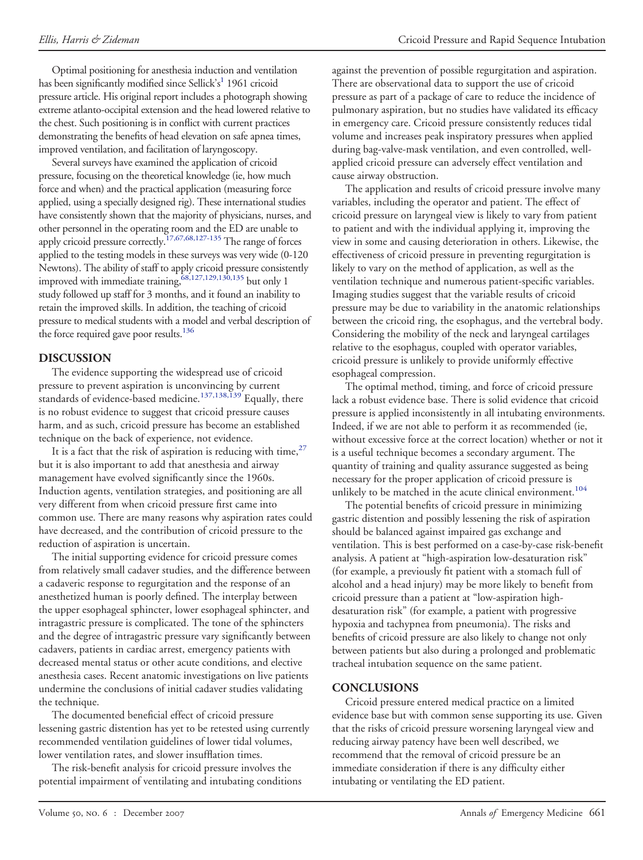Optimal positioning for anesthesia induction and ventilation has been significantly modified since Sellick's<sup>1</sup> 1961 cricoid pressure article. His original report includes a photograph showing extreme atlanto-occipital extension and the head lowered relative to the chest. Such positioning is in conflict with current practices demonstrating the benefits of head elevation on safe apnea times, improved ventilation, and facilitation of laryngoscopy.

Several surveys have examined the application of cricoid pressure, focusing on the theoretical knowledge (ie, how much force and when) and the practical application (measuring force applied, using a specially designed rig). These international studies have consistently shown that the majority of physicians, nurses, and other personnel in the operating room and the ED are unable to apply cricoid pressure correctly.<sup>17,67,68,127-135</sup> The range of forces applied to the testing models in these surveys was very wide (0-120 Newtons). The ability of staff to apply cricoid pressure consistently improved with immediate training[,68,127,129,130,135](#page-10-0) but only 1 study followed up staff for 3 months, and it found an inability to retain the improved skills. In addition, the teaching of cricoid pressure to medical students with a model and verbal description of the force required gave poor results.<sup>136</sup>

# **DISCUSSION**

The evidence supporting the widespread use of cricoid pressure to prevent aspiration is unconvincing by current standards of evidence-based medicine.<sup>[137,138,139](#page-12-1)</sup> Equally, there is no robust evidence to suggest that cricoid pressure causes harm, and as such, cricoid pressure has become an established technique on the back of experience, not evidence.

It is a fact that the risk of aspiration is reducing with time, $27$ but it is also important to add that anesthesia and airway management have evolved significantly since the 1960s. Induction agents, ventilation strategies, and positioning are all very different from when cricoid pressure first came into common use. There are many reasons why aspiration rates could have decreased, and the contribution of cricoid pressure to the reduction of aspiration is uncertain.

The initial supporting evidence for cricoid pressure comes from relatively small cadaver studies, and the difference between a cadaveric response to regurgitation and the response of an anesthetized human is poorly defined. The interplay between the upper esophageal sphincter, lower esophageal sphincter, and intragastric pressure is complicated. The tone of the sphincters and the degree of intragastric pressure vary significantly between cadavers, patients in cardiac arrest, emergency patients with decreased mental status or other acute conditions, and elective anesthesia cases. Recent anatomic investigations on live patients undermine the conclusions of initial cadaver studies validating the technique.

The documented beneficial effect of cricoid pressure lessening gastric distention has yet to be retested using currently recommended ventilation guidelines of lower tidal volumes, lower ventilation rates, and slower insufflation times.

The risk-benefit analysis for cricoid pressure involves the potential impairment of ventilating and intubating conditions against the prevention of possible regurgitation and aspiration. There are observational data to support the use of cricoid pressure as part of a package of care to reduce the incidence of pulmonary aspiration, but no studies have validated its efficacy in emergency care. Cricoid pressure consistently reduces tidal volume and increases peak inspiratory pressures when applied during bag-valve-mask ventilation, and even controlled, wellapplied cricoid pressure can adversely effect ventilation and cause airway obstruction.

The application and results of cricoid pressure involve many variables, including the operator and patient. The effect of cricoid pressure on laryngeal view is likely to vary from patient to patient and with the individual applying it, improving the view in some and causing deterioration in others. Likewise, the effectiveness of cricoid pressure in preventing regurgitation is likely to vary on the method of application, as well as the ventilation technique and numerous patient-specific variables. Imaging studies suggest that the variable results of cricoid pressure may be due to variability in the anatomic relationships between the cricoid ring, the esophagus, and the vertebral body. Considering the mobility of the neck and laryngeal cartilages relative to the esophagus, coupled with operator variables, cricoid pressure is unlikely to provide uniformly effective esophageal compression.

The optimal method, timing, and force of cricoid pressure lack a robust evidence base. There is solid evidence that cricoid pressure is applied inconsistently in all intubating environments. Indeed, if we are not able to perform it as recommended (ie, without excessive force at the correct location) whether or not it is a useful technique becomes a secondary argument. The quantity of training and quality assurance suggested as being necessary for the proper application of cricoid pressure is unlikely to be matched in the acute clinical environment.<sup>[104](#page-11-0)</sup>

The potential benefits of cricoid pressure in minimizing gastric distention and possibly lessening the risk of aspiration should be balanced against impaired gas exchange and ventilation. This is best performed on a case-by-case risk-benefit analysis. A patient at "high-aspiration low-desaturation risk" (for example, a previously fit patient with a stomach full of alcohol and a head injury) may be more likely to benefit from cricoid pressure than a patient at "low-aspiration highdesaturation risk" (for example, a patient with progressive hypoxia and tachypnea from pneumonia). The risks and benefits of cricoid pressure are also likely to change not only between patients but also during a prolonged and problematic tracheal intubation sequence on the same patient.

# **CONCLUSIONS**

Cricoid pressure entered medical practice on a limited evidence base but with common sense supporting its use. Given that the risks of cricoid pressure worsening laryngeal view and reducing airway patency have been well described, we recommend that the removal of cricoid pressure be an immediate consideration if there is any difficulty either intubating or ventilating the ED patient.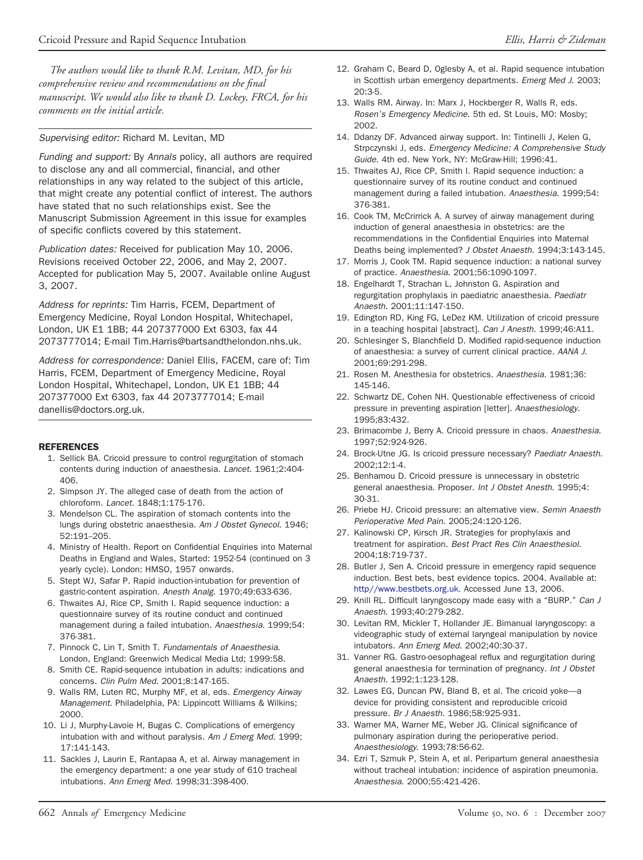*The authors would like to thank R.M. Levitan, MD, for his comprehensive review and recommendations on the final manuscript. We would also like to thank D. Lockey, FRCA, for his comments on the initial article.*

#### Supervising editor: Richard M. Levitan, MD

Funding and support: By Annals policy, all authors are required to disclose any and all commercial, financial, and other relationships in any way related to the subject of this article, that might create any potential conflict of interest. The authors have stated that no such relationships exist. See the Manuscript Submission Agreement in this issue for examples of specific conflicts covered by this statement.

Publication dates: Received for publication May 10, 2006. Revisions received October 22, 2006, and May 2, 2007. Accepted for publication May 5, 2007. Available online August 3, 2007.

Address for reprints: Tim Harris, FCEM, Department of Emergency Medicine, Royal London Hospital, Whitechapel, London, UK E1 1BB; 44 207377000 Ext 6303, fax 44 2073777014; E-mail Tim.Harris@bartsandthelondon.nhs.uk.

Address for correspondence: Daniel Ellis, FACEM, care of: Tim Harris, FCEM, Department of Emergency Medicine, Royal London Hospital, Whitechapel, London, UK E1 1BB; 44 207377000 Ext 6303, fax 44 2073777014; E-mail danellis@doctors.org.uk.

#### **REFERENCES**

- 1. Sellick BA. Cricoid pressure to control regurgitation of stomach contents during induction of anaesthesia. Lancet. 1961;2:404- 406.
- 2. Simpson JY. The alleged case of death from the action of chloroform. Lancet. 1848;1:175-176.
- 3. Mendelson CL. The aspiration of stomach contents into the lungs during obstetric anaesthesia. Am J Obstet Gynecol. 1946; 52:191-205.
- 4. Ministry of Health. Report on Confidential Enquiries into Maternal Deaths in England and Wales, Started: 1952-54 (continued on 3 yearly cycle). London: HMSO, 1957 onwards.
- 5. Stept WJ, Safar P. Rapid induction-intubation for prevention of gastric-content aspiration. Anesth Analg. 1970;49:633-636.
- 6. Thwaites AJ, Rice CP, Smith I. Rapid sequence induction: a questionnaire survey of its routine conduct and continued management during a failed intubation. Anaesthesia. 1999;54: 376-381.
- <span id="page-9-1"></span>7. Pinnock C, Lin T, Smith T. Fundamentals of Anaesthesia. London, England: Greenwich Medical Media Ltd; 1999:58.
- 8. Smith CE. Rapid-sequence intubation in adults: indications and concerns. Clin Pulm Med. 2001;8:147-165.
- 9. Walls RM, Luten RC, Murphy MF, et al, eds. Emergency Airway Management. Philadelphia, PA: Lippincott Williams & Wilkins; 2000.
- 10. Li J, Murphy-Lavoie H, Bugas C. Complications of emergency intubation with and without paralysis. Am J Emerg Med. 1999; 17:141-143.
- <span id="page-9-0"></span>11. Sackles J, Laurin E, Rantapaa A, et al. Airway management in the emergency department: a one year study of 610 tracheal intubations. Ann Emerg Med. 1998;31:398-400.
- 12. Graham C, Beard D, Oglesby A, et al. Rapid sequence intubation in Scottish urban emergency departments. Emerg Med J. 2003; 20:3-5.
- 13. Walls RM. Airway. In: Marx J, Hockberger R, Walls R, eds. Rosen's Emergency Medicine. 5th ed. St Louis, MO: Mosby; 2002.
- 14. Ddanzy DF. Advanced airway support. In: Tintinelli J, Kelen G, Strpczynski J, eds. Emergency Medicine: A Comprehensive Study Guide. 4th ed. New York, NY: McGraw-Hill; 1996:41.
- 15. Thwaites AJ, Rice CP, Smith I. Rapid sequence induction: a questionnaire survey of its routine conduct and continued management during a failed intubation. Anaesthesia. 1999;54: 376-381.
- 16. Cook TM, McCrirrick A. A survey of airway management during induction of general anaesthesia in obstetrics: are the recommendations in the Confidential Enquiries into Maternal Deaths being implemented? J Obstet Anaesth. 1994;3:143-145.
- 17. Morris J, Cook TM. Rapid sequence induction: a national survey of practice. Anaesthesia. 2001;56:1090-1097.
- 18. Engelhardt T, Strachan L, Johnston G. Aspiration and regurgitation prophylaxis in paediatric anaesthesia. Paediatr Anaesth. 2001;11:147-150.
- 19. Edington RD, King FG, LeDez KM. Utilization of cricoid pressure in a teaching hospital [abstract]. Can J Anesth. 1999;46:A11.
- 20. Schlesinger S, Blanchfield D. Modified rapid-sequence induction of anaesthesia: a survey of current clinical practice. AANA J. 2001;69:291-298.
- 21. Rosen M. Anesthesia for obstetrics. Anaesthesia. 1981;36: 145-146.
- 22. Schwartz DE, Cohen NH. Questionable effectiveness of cricoid pressure in preventing aspiration [letter]. Anaesthesiology. 1995;83:432.
- 23. Brimacombe J, Berry A. Cricoid pressure in chaos. Anaesthesia. 1997;52:924-926.
- 24. Brock-Utne JG. Is cricoid pressure necessary? Paediatr Anaesth. 2002;12:1-4.
- 25. Benhamou D. Cricoid pressure is unnecessary in obstetric general anaesthesia. Proposer. Int J Obstet Anesth. 1995;4: 30-31.
- 26. Priebe HJ. Cricoid pressure: an alternative view. Semin Anaesth Perioperative Med Pain. 2005;24:120-126.
- 27. Kalinowski CP, Kirsch JR. Strategies for prophylaxis and treatment for aspiration. Best Pract Res Clin Anaesthesiol. 2004;18:719-737.
- 28. Butler J, Sen A. Cricoid pressure in emergency rapid sequence induction. Best bets, best evidence topics. 2004. Available at: [http//www.bestbets.org.uk.](http://www.bestbets.org.uk) Accessed June 13, 2006.
- 29. Knill RL. Difficult laryngoscopy made easy with a "BURP." Can J Anaesth. 1993;40:279-282.
- 30. Levitan RM, Mickler T, Hollander JE. Bimanual laryngoscopy: a videographic study of external laryngeal manipulation by novice intubators. Ann Emerg Med. 2002;40:30-37.
- 31. Vanner RG. Gastro-oesophageal reflux and regurgitation during general anaesthesia for termination of pregnancy. Int J Obstet Anaesth. 1992;1:123-128.
- 32. Lawes EG, Duncan PW, Bland B, et al. The cricoid yoke—a device for providing consistent and reproducible cricoid pressure. Br J Anaesth. 1986;58:925-931.
- 33. Warner MA, Warner ME, Weber JG. Clinical significance of pulmonary aspiration during the perioperative period. Anaesthesiology. 1993;78:56-62.
- 34. Ezri T, Szmuk P, Stein A, et al. Peripartum general anaesthesia without tracheal intubation: incidence of aspiration pneumonia. Anaesthesia. 2000;55:421-426.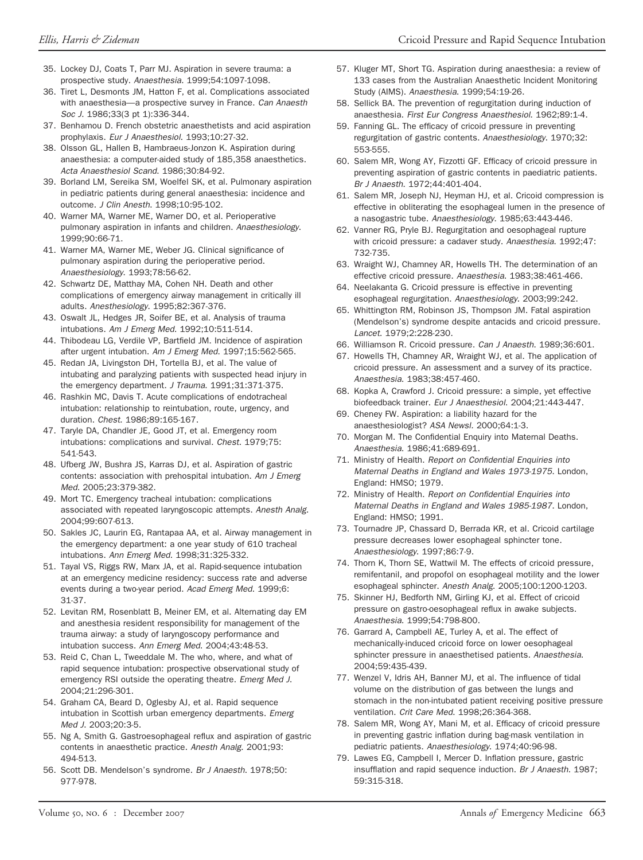- 35. Lockey DJ, Coats T, Parr MJ. Aspiration in severe trauma: a prospective study. Anaesthesia. 1999;54:1097-1098.
- 36. Tiret L, Desmonts JM, Hatton F, et al. Complications associated with anaesthesia-a prospective survey in France. Can Anaesth Soc J. 1986;33(3 pt 1):336-344.
- 37. Benhamou D. French obstetric anaesthetists and acid aspiration prophylaxis. Eur J Anaesthesiol. 1993;10:27-32.
- 38. Olsson GL, Hallen B, Hambraeus-Jonzon K. Aspiration during anaesthesia: a computer-aided study of 185,358 anaesthetics. Acta Anaesthesiol Scand. 1986;30:84-92.
- 39. Borland LM, Sereika SM, Woelfel SK, et al. Pulmonary aspiration in pediatric patients during general anaesthesia: incidence and outcome. J Clin Anesth. 1998;10:95-102.
- 40. Warner MA, Warner ME, Warner DO, et al. Perioperative pulmonary aspiration in infants and children. Anaesthesiology. 1999;90:66-71.
- 41. Warner MA, Warner ME, Weber JG. Clinical significance of pulmonary aspiration during the perioperative period. Anaesthesiology. 1993;78:56-62.
- 42. Schwartz DE, Matthay MA, Cohen NH. Death and other complications of emergency airway management in critically ill adults. Anesthesiology. 1995;82:367-376.
- 43. Oswalt JL, Hedges JR, Soifer BE, et al. Analysis of trauma intubations. Am J Emerg Med. 1992;10:511-514.
- 44. Thibodeau LG, Verdile VP, Bartfield JM. Incidence of aspiration after urgent intubation. Am J Emerg Med. 1997;15:562-565.
- 45. Redan JA, Livingston DH, Tortella BJ, et al. The value of intubating and paralyzing patients with suspected head injury in the emergency department. J Trauma. 1991;31:371-375.
- 46. Rashkin MC, Davis T. Acute complications of endotracheal intubation: relationship to reintubation, route, urgency, and duration. Chest. 1986;89:165-167.
- 47. Taryle DA, Chandler JE, Good JT, et al. Emergency room intubations: complications and survival. Chest. 1979;75: 541-543.
- 48. Ufberg JW, Bushra JS, Karras DJ, et al. Aspiration of gastric contents: association with prehospital intubation. Am J Emerg Med. 2005;23:379-382.
- 49. Mort TC. Emergency tracheal intubation: complications associated with repeated laryngoscopic attempts. Anesth Analg. 2004;99:607-613.
- 50. Sakles JC, Laurin EG, Rantapaa AA, et al. Airway management in the emergency department: a one year study of 610 tracheal intubations. Ann Emerg Med. 1998;31:325-332.
- 51. Tayal VS, Riggs RW, Marx JA, et al. Rapid-sequence intubation at an emergency medicine residency: success rate and adverse events during a two-year period. Acad Emerg Med. 1999;6: 31-37.
- 52. Levitan RM, Rosenblatt B, Meiner EM, et al. Alternating day EM and anesthesia resident responsibility for management of the trauma airway: a study of laryngoscopy performance and intubation success. Ann Emerg Med. 2004;43:48-53.
- <span id="page-10-1"></span>53. Reid C, Chan L, Tweeddale M. The who, where, and what of rapid sequence intubation: prospective observational study of emergency RSI outside the operating theatre. Emerg Med J. 2004;21:296-301.
- 54. Graham CA, Beard D, Oglesby AJ, et al. Rapid sequence intubation in Scottish urban emergency departments. Emerg Med J. 2003:20:3-5.
- 55. Ng A, Smith G. Gastroesophageal reflux and aspiration of gastric contents in anaesthetic practice. Anesth Analg. 2001;93: 494-513.
- <span id="page-10-0"></span>56. Scott DB. Mendelson's syndrome. Br J Anaesth. 1978;50: 977-978.
- 57. Kluger MT, Short TG. Aspiration during anaesthesia: a review of 133 cases from the Australian Anaesthetic Incident Monitoring Study (AIMS). Anaesthesia. 1999;54:19-26.
- 58. Sellick BA. The prevention of regurgitation during induction of anaesthesia. First Eur Congress Anaesthesiol. 1962;89:1-4.
- 59. Fanning GL. The efficacy of cricoid pressure in preventing regurgitation of gastric contents. Anaesthesiology. 1970;32: 553-555.
- 60. Salem MR, Wong AY, Fizzotti GF. Efficacy of cricoid pressure in preventing aspiration of gastric contents in paediatric patients. Br J Anaesth. 1972;44:401-404.
- 61. Salem MR, Joseph NJ, Heyman HJ, et al. Cricoid compression is effective in obliterating the esophageal lumen in the presence of a nasogastric tube. Anaesthesiology. 1985;63:443-446.
- 62. Vanner RG, Pryle BJ. Regurgitation and oesophageal rupture with cricoid pressure: a cadaver study. Anaesthesia. 1992;47: 732-735.
- 63. Wraight WJ, Chamney AR, Howells TH. The determination of an effective cricoid pressure. Anaesthesia. 1983;38:461-466.
- 64. Neelakanta G. Cricoid pressure is effective in preventing esophageal regurgitation. Anaesthesiology. 2003;99:242.
- 65. Whittington RM, Robinson JS, Thompson JM. Fatal aspiration (Mendelson's) syndrome despite antacids and cricoid pressure. Lancet. 1979;2:228-230.
- 66. Williamson R. Cricoid pressure. Can J Anaesth. 1989;36:601.
- 67. Howells TH, Chamney AR, Wraight WJ, et al. The application of cricoid pressure. An assessment and a survey of its practice. Anaesthesia. 1983;38:457-460.
- 68. Kopka A, Crawford J. Cricoid pressure: a simple, yet effective biofeedback trainer. Eur J Anaesthesiol. 2004;21:443-447.
- 69. Cheney FW. Aspiration: a liability hazard for the anaesthesiologist? ASA Newsl. 2000;64:1-3.
- 70. Morgan M. The Confidential Enquiry into Maternal Deaths. Anaesthesia. 1986;41:689-691.
- 71. Ministry of Health. Report on Confidential Enquiries into Maternal Deaths in England and Wales 1973-1975. London, England: HMSO; 1979.
- 72. Ministry of Health. Report on Confidential Enquiries into Maternal Deaths in England and Wales 1985-1987. London, England: HMSO; 1991.
- 73. Tournadre JP, Chassard D, Berrada KR, et al. Cricoid cartilage pressure decreases lower esophageal sphincter tone. Anaesthesiology. 1997;86:7-9.
- 74. Thorn K, Thorn SE, Wattwil M. The effects of cricoid pressure, remifentanil, and propofol on esophageal motility and the lower esophageal sphincter. Anesth Analg. 2005;100:1200-1203.
- 75. Skinner HJ, Bedforth NM, Girling KJ, et al. Effect of cricoid pressure on gastro-oesophageal reflux in awake subjects. Anaesthesia. 1999;54:798-800.
- 76. Garrard A, Campbell AE, Turley A, et al. The effect of mechanically-induced cricoid force on lower oesophageal sphincter pressure in anaesthetised patients. Anaesthesia. 2004;59:435-439.
- 77. Wenzel V, Idris AH, Banner MJ, et al. The influence of tidal volume on the distribution of gas between the lungs and stomach in the non-intubated patient receiving positive pressure ventilation. Crit Care Med. 1998;26:364-368.
- 78. Salem MR, Wong AY, Mani M, et al. Efficacy of cricoid pressure in preventing gastric inflation during bag-mask ventilation in pediatric patients. Anaesthesiology. 1974;40:96-98.
- 79. Lawes EG, Campbell I, Mercer D. Inflation pressure, gastric insufflation and rapid sequence induction. Br J Anaesth. 1987; 59:315-318.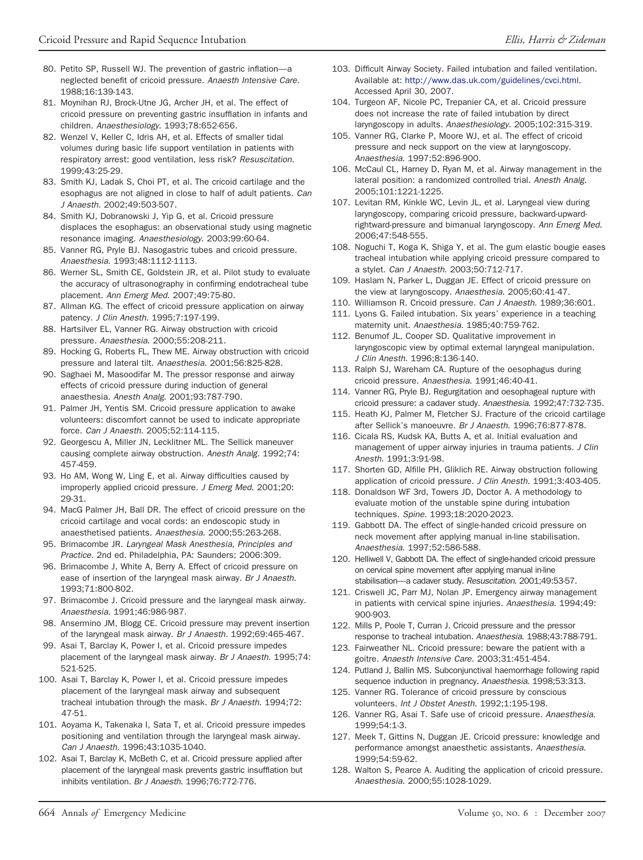- 80. Petito SP, Russell WJ. The prevention of gastric inflation—a neglected benefit of cricoid pressure. Anaesth Intensive Care. 1988;16:139-143.
- 81. Moynihan RJ, Brock-Utne JG, Archer JH, et al. The effect of cricoid pressure on preventing gastric insufflation in infants and children. Anaesthesiology. 1993;78:652-656.
- 82. Wenzel V, Keller C, Idris AH, et al. Effects of smaller tidal volumes during basic life support ventilation in patients with respiratory arrest: good ventilation, less risk? Resuscitation. 1999;43:25-29.
- 83. Smith KJ, Ladak S, Choi PT, et al. The cricoid cartilage and the esophagus are not aligned in close to half of adult patients. Can J Anaesth. 2002;49:503-507.
- 84. Smith KJ, Dobranowski J, Yip G, et al. Cricoid pressure displaces the esophagus: an observational study using magnetic resonance imaging. Anaesthesiology. 2003;99:60-64.
- 85. Vanner RG, Pryle BJ. Nasogastric tubes and cricoid pressure. Anaesthesia. 1993;48:1112-1113.
- 86. Werner SL, Smith CE, Goldstein JR, et al. Pilot study to evaluate the accuracy of ultrasonography in confirming endotracheal tube placement. Ann Emerg Med. 2007;49:75-80.
- 87. Allman KG. The effect of cricoid pressure application on airway patency. J Clin Anesth. 1995;7:197-199.
- 88. Hartsilver EL, Vanner RG. Airway obstruction with cricoid pressure. Anaesthesia. 2000;55:208-211.
- 89. Hocking G, Roberts FL, Thew ME. Airway obstruction with cricoid pressure and lateral tilt. Anaesthesia. 2001;56:825-828.
- 90. Saghaei M, Masoodifar M. The pressor response and airway effects of cricoid pressure during induction of general anaesthesia. Anesth Analg. 2001;93:787-790.
- 91. Palmer JH, Yentis SM. Cricoid pressure application to awake volunteers: discomfort cannot be used to indicate appropriate force. Can J Anaesth. 2005;52:114-115.
- 92. Georgescu A, Miller JN, Lecklitner ML. The Sellick maneuver causing complete airway obstruction. Anesth Analg. 1992;74: 457-459.
- 93. Ho AM, Wong W, Ling E, et al. Airway difficulties caused by improperly applied cricoid pressure. J Emerg Med. 2001;20: 29-31.
- 94. MacG Palmer JH, Ball DR. The effect of cricoid pressure on the cricoid cartilage and vocal cords: an endoscopic study in anaesthetised patients. Anaesthesia. 2000;55:263-268.
- 95. Brimacombe JR. Laryngeal Mask Anesthesia, Principles and Practice. 2nd ed. Philadelphia, PA: Saunders; 2006:309.
- 96. Brimacombe J, White A, Berry A. Effect of cricoid pressure on ease of insertion of the laryngeal mask airway. Br J Anaesth. 1993;71:800-802.
- 97. Brimacombe J. Cricoid pressure and the laryngeal mask airway. Anaesthesia. 1991;46:986-987.
- 98. Ansermino JM, Blogg CE. Cricoid pressure may prevent insertion of the laryngeal mask airway. Br J Anaesth. 1992;69:465-467.
- <span id="page-11-1"></span>99. Asai T, Barclay K, Power I, et al. Cricoid pressure impedes placement of the laryngeal mask airway. Br J Anaesth. 1995;74: 521-525.
- 100. Asai T, Barclay K, Power I, et al. Cricoid pressure impedes placement of the laryngeal mask airway and subsequent tracheal intubation through the mask. Br J Anaesth. 1994;72: 47-51.
- 101. Aoyama K, Takenaka I, Sata T, et al. Cricoid pressure impedes positioning and ventilation through the laryngeal mask airway. Can J Anaesth. 1996;43:1035-1040.
- <span id="page-11-0"></span>102. Asai T, Barclay K, McBeth C, et al. Cricoid pressure applied after placement of the laryngeal mask prevents gastric insufflation but inhibits ventilation. Br J Anaesth. 1996;76:772-776.
- 103. Difficult Airway Society. Failed intubation and failed ventilation. Available at: [http://www.das.uk.com/guidelines/cvci.html.](http://www.das.uk.com/guidelines/cvci.html) Accessed April 30, 2007.
- 104. Turgeon AF, Nicole PC, Trepanier CA, et al. Cricoid pressure does not increase the rate of failed intubation by direct laryngoscopy in adults. Anaesthesiology. 2005;102:315-319.
- 105. Vanner RG, Clarke P, Moore WJ, et al. The effect of cricoid pressure and neck support on the view at laryngoscopy. Anaesthesia. 1997;52:896-900.
- 106. McCaul CL, Harney D, Ryan M, et al. Airway management in the lateral position: a randomized controlled trial. Anesth Analg. 2005;101:1221-1225.
- 107. Levitan RM, Kinkle WC, Levin JL, et al. Laryngeal view during laryngoscopy, comparing cricoid pressure, backward-upwardrightward-pressure and bimanual laryngoscopy. Ann Emerg Med. 2006;47:548-555.
- 108. Noguchi T, Koga K, Shiga Y, et al. The gum elastic bougie eases tracheal intubation while applying cricoid pressure compared to a stylet. Can J Anaesth. 2003;50:712-717.
- 109. Haslam N, Parker L, Duggan JE. Effect of cricoid pressure on the view at laryngoscopy. Anaesthesia. 2005;60:41-47.
- 110. Williamson R. Cricoid pressure. Can J Anaesth. 1989;36:601.
- 111. Lyons G. Failed intubation. Six years' experience in a teaching maternity unit. Anaesthesia. 1985;40:759-762.
- 112. Benumof JL, Cooper SD. Qualitative improvement in laryngoscopic view by optimal external laryngeal manipulation. J Clin Anesth. 1996;8:136-140.
- 113. Ralph SJ, Wareham CA. Rupture of the oesophagus during cricoid pressure. Anaesthesia. 1991;46:40-41.
- 114. Vanner RG, Pryle BJ. Regurgitation and oesophageal rupture with cricoid pressure: a cadaver study. Anaesthesia. 1992;47:732-735.
- 115. Heath KJ, Palmer M, Fletcher SJ. Fracture of the cricoid cartilage after Sellick's manoeuvre. Br J Anaesth. 1996;76:877-878.
- 116. Cicala RS, Kudsk KA, Butts A, et al. Initial evaluation and management of upper airway injuries in trauma patients. J Clin Anesth. 1991;3:91-98.
- 117. Shorten GD, Alfille PH, Gliklich RE. Airway obstruction following application of cricoid pressure. J Clin Anesth. 1991;3:403-405.
- 118. Donaldson WF 3rd, Towers JD, Doctor A. A methodology to evaluate motion of the unstable spine during intubation techniques. Spine. 1993;18:2020-2023.
- 119. Gabbott DA. The effect of single-handed cricoid pressure on neck movement after applying manual in-line stabilisation. Anaesthesia. 1997;52:586-588.
- 120. Helliwell V, Gabbott DA. The effect of single-handed cricoid pressure on cervical spine movement after applying manual in-line stabilisation—a cadaver study. Resuscitation. 2001;49:53-57.
- 121. Criswell JC, Parr MJ, Nolan JP. Emergency airway management in patients with cervical spine injuries. Anaesthesia. 1994;49: 900-903.
- 122. Mills P, Poole T, Curran J. Cricoid pressure and the pressor response to tracheal intubation. Anaesthesia. 1988;43:788-791.
- 123. Fairweather NL. Cricoid pressure: beware the patient with a goitre. Anaesth Intensive Care. 2003;31:451-454.
- 124. Putland J, Ballin MS. Subconjunctival haemorrhage following rapid sequence induction in pregnancy. Anaesthesia. 1998;53:313.
- 125. Vanner RG. Tolerance of cricoid pressure by conscious volunteers. Int J Obstet Anesth. 1992;1:195-198.
- 126. Vanner RG, Asai T. Safe use of cricoid pressure. Anaesthesia. 1999;54:1-3.
- 127. Meek T, Gittins N, Duggan JE. Cricoid pressure: knowledge and performance amongst anaesthetic assistants. Anaesthesia. 1999;54:59-62.
- 128. Walton S, Pearce A. Auditing the application of cricoid pressure. Anaesthesia. 2000;55:1028-1029.